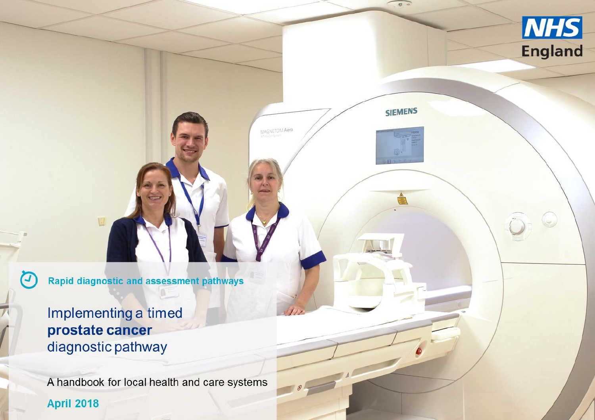

 $\triangle$ 

 $\theta$   $\rightarrow$ 

**NHS** 

**England** 

MAGNETOM Aera

**Rapid diagnostic and assessment pathways** 

Implementing a timed prostate cancer diagnostic pathway

U

 $\boldsymbol{G}$ 

A handbook for local health and care systems **April 2018**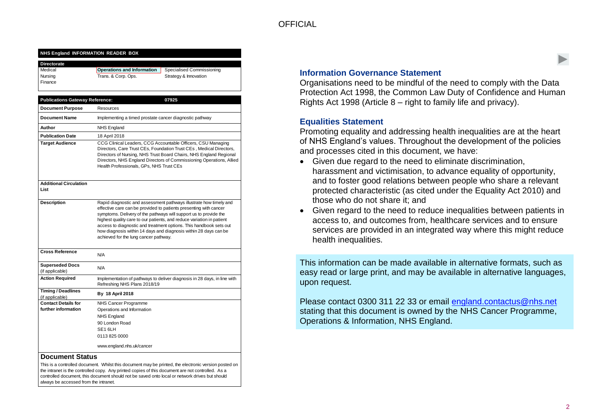#### **NHS England INFORMATION READER BOX**

| <b>Directorate</b> |                                   |                           |
|--------------------|-----------------------------------|---------------------------|
| Medical            | <b>Operations and Information</b> | Specialised Commissioning |
| Nursing<br>Finance | Trans. & Corp. Ops.               | Strategy & Innovation     |

| <b>Publications Gateway Reference:</b>       | 07925                                                                                                                                                                                                                                                                                                                                                                                                                                                                    |
|----------------------------------------------|--------------------------------------------------------------------------------------------------------------------------------------------------------------------------------------------------------------------------------------------------------------------------------------------------------------------------------------------------------------------------------------------------------------------------------------------------------------------------|
| <b>Document Purpose</b>                      | Resources                                                                                                                                                                                                                                                                                                                                                                                                                                                                |
| <b>Document Name</b>                         | Implementing a timed prostate cancer diagnostic pathway                                                                                                                                                                                                                                                                                                                                                                                                                  |
| Author                                       | NHS England                                                                                                                                                                                                                                                                                                                                                                                                                                                              |
| <b>Publication Date</b>                      | 18 April 2018                                                                                                                                                                                                                                                                                                                                                                                                                                                            |
| <b>Target Audience</b>                       | CCG Clinical Leaders, CCG Accountable Officers, CSU Managing<br>Directors, Care Trust CEs, Foundation Trust CEs, Medical Directors,<br>Directors of Nursing, NHS Trust Board Chairs, NHS England Regional<br>Directors, NHS England Directors of Commissioning Operations, Allied<br>Health Professionals, GPs, NHS Trust CEs                                                                                                                                            |
| <b>Additional Circulation</b><br>List        |                                                                                                                                                                                                                                                                                                                                                                                                                                                                          |
| <b>Description</b>                           | Rapid diagnostic and assessment pathways illustrate how timely and<br>effective care can be provided to patients presenting with cancer<br>symptoms. Delivery of the pathways will support us to provide the<br>highest quality care to our patients, and reduce variation in patient<br>access to diagnostic and treatment options. This handbook sets out<br>how diagnosis within 14 days and diagnosis within 28 days can be<br>achieved for the lung cancer pathway. |
| <b>Cross Reference</b>                       | N/A                                                                                                                                                                                                                                                                                                                                                                                                                                                                      |
| <b>Superseded Docs</b><br>(if applicable)    | N/A                                                                                                                                                                                                                                                                                                                                                                                                                                                                      |
| <b>Action Required</b>                       | Implementation of pathways to deliver diagnosis in 28 days, in line with<br>Refreshing NHS Plans 2018/19                                                                                                                                                                                                                                                                                                                                                                 |
| <b>Timing / Deadlines</b><br>(if applicable) | By 18 April 2018                                                                                                                                                                                                                                                                                                                                                                                                                                                         |
| <b>Contact Details for</b>                   | NHS Cancer Programme                                                                                                                                                                                                                                                                                                                                                                                                                                                     |
| further information                          | Operations and Information                                                                                                                                                                                                                                                                                                                                                                                                                                               |
|                                              | <b>NHS England</b>                                                                                                                                                                                                                                                                                                                                                                                                                                                       |
|                                              | 90 London Road<br>SE <sub>16LH</sub>                                                                                                                                                                                                                                                                                                                                                                                                                                     |
|                                              | 01138250000                                                                                                                                                                                                                                                                                                                                                                                                                                                              |
|                                              | www.england.nhs.uk/cancer                                                                                                                                                                                                                                                                                                                                                                                                                                                |

#### **Document Status**

This is a controlled document. Whilst this document may be printed, the electronic version posted on the intranet is the controlled copy. Any printed copies of this document are not controlled. As a controlled document, this document should not be saved onto local or network drives but should always be accessed from the intranet.

#### **Information Governance Statement**

Organisations need to be mindful of the need to comply with the Data Protection Act 1998, the Common Law Duty of Confidence and Human Rights Act 1998 (Article 8 – right to family life and privacy).

#### **Equalities Statement**

Promoting equality and addressing health inequalities are at the heart of NHS England's values. Throughout the development of the policies and processes cited in this document, we have:

- Given due regard to the need to eliminate discrimination, harassment and victimisation, to advance equality of opportunity, and to foster good relations between people who share a relevant protected characteristic (as cited under the Equality Act 2010) and those who do not share it; and
- Given regard to the need to reduce inequalities between patients in access to, and outcomes from, healthcare services and to ensure services are provided in an integrated way where this might reduce health inequalities.

This information can be made available in alternative formats, such as easy read or large print, and may be available in alternative languages, upon request.

Please contact 0300 311 22 33 or email [england.contactus@nhs.net](mailto:england.contactus@nhs.net) stating that this document is owned by the NHS Cancer Programme, Operations & Information, NHS England.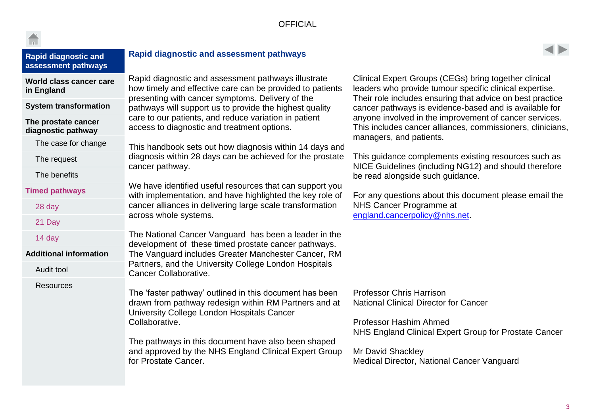<span id="page-2-0"></span>

| <b>Rapid diagnostic and</b><br>assessment pathways | <b>Rapid diagnostic and assessment pathways</b>                                                                                                                                                                                                                                                                          |                                                                                                                                                                                                                                              |  |
|----------------------------------------------------|--------------------------------------------------------------------------------------------------------------------------------------------------------------------------------------------------------------------------------------------------------------------------------------------------------------------------|----------------------------------------------------------------------------------------------------------------------------------------------------------------------------------------------------------------------------------------------|--|
| World class cancer care<br>in England              | Rapid diagnostic and assessment pathways illustrate<br>how timely and effective care can be provided to patients                                                                                                                                                                                                         | Clinical Expert Groups (CEGs) bring together clinical<br>leaders who provide tumour specific clinical expertise.<br>Their role includes ensuring that advice on best practice                                                                |  |
| <b>System transformation</b>                       | presenting with cancer symptoms. Delivery of the<br>pathways will support us to provide the highest quality                                                                                                                                                                                                              | cancer pathways is evidence-based and is available for                                                                                                                                                                                       |  |
| The prostate cancer<br>diagnostic pathway          | care to our patients, and reduce variation in patient<br>access to diagnostic and treatment options.                                                                                                                                                                                                                     | anyone involved in the improvement of cancer services.<br>This includes cancer alliances, commissioners, clinicians,<br>managers, and patients.                                                                                              |  |
| The case for change                                | This handbook sets out how diagnosis within 14 days and                                                                                                                                                                                                                                                                  |                                                                                                                                                                                                                                              |  |
| The request                                        | diagnosis within 28 days can be achieved for the prostate<br>cancer pathway.                                                                                                                                                                                                                                             | This quidance complements existing resources such as<br>NICE Guidelines (including NG12) and should therefore                                                                                                                                |  |
| The benefits                                       |                                                                                                                                                                                                                                                                                                                          | be read alongside such guidance.                                                                                                                                                                                                             |  |
| <b>Timed pathways</b>                              | We have identified useful resources that can support you<br>with implementation, and have highlighted the key role of                                                                                                                                                                                                    | For any questions about this document please email the                                                                                                                                                                                       |  |
| 28 day                                             | cancer alliances in delivering large scale transformation                                                                                                                                                                                                                                                                | NHS Cancer Programme at                                                                                                                                                                                                                      |  |
| 21 Day                                             | across whole systems.                                                                                                                                                                                                                                                                                                    | england.cancerpolicy@nhs.net.                                                                                                                                                                                                                |  |
| 14 day                                             | The National Cancer Vanguard has been a leader in the<br>development of these timed prostate cancer pathways.                                                                                                                                                                                                            |                                                                                                                                                                                                                                              |  |
| <b>Additional information</b>                      | The Vanguard includes Greater Manchester Cancer, RM                                                                                                                                                                                                                                                                      |                                                                                                                                                                                                                                              |  |
| Audit tool                                         | Partners, and the University College London Hospitals<br>Cancer Collaborative.                                                                                                                                                                                                                                           |                                                                                                                                                                                                                                              |  |
| <b>Resources</b>                                   | The 'faster pathway' outlined in this document has been<br>drawn from pathway redesign within RM Partners and at<br>University College London Hospitals Cancer<br>Collaborative.<br>The pathways in this document have also been shaped<br>and approved by the NHS England Clinical Expert Group<br>for Prostate Cancer. | <b>Professor Chris Harrison</b><br><b>National Clinical Director for Cancer</b><br><b>Professor Hashim Ahmed</b><br>NHS England Clinical Expert Group for Prostate Cancer<br>Mr David Shackley<br>Medical Director, National Cancer Vanguard |  |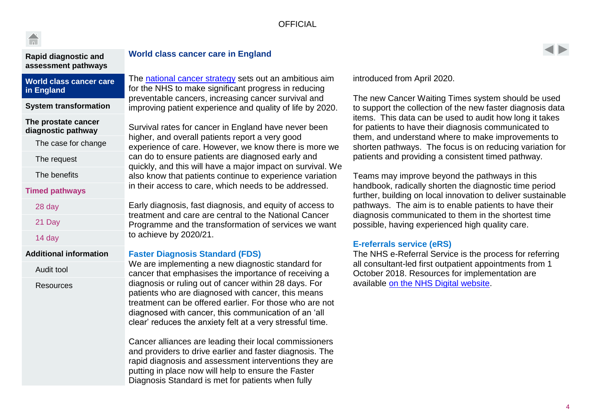| <b>Rapid diagnostic and</b><br>assessment pathways               | <b>World class cancer of</b>                                                                                                  |  |
|------------------------------------------------------------------|-------------------------------------------------------------------------------------------------------------------------------|--|
| <b>World class cancer care</b><br>in England                     | The national cancer st<br>for the NHS to make s                                                                               |  |
| <b>System transformation</b>                                     | preventable cancers,<br>improving patient expe                                                                                |  |
| The prostate cancer<br>diagnostic pathway<br>The case for change | Survival rates for cand<br>higher, and overall pa<br>experience of care. He                                                   |  |
| The request                                                      | can do to ensure patie                                                                                                        |  |
| The benefits                                                     | quickly, and this will h<br>also know that patient<br>in their access to care                                                 |  |
| <b>Timed pathways</b>                                            |                                                                                                                               |  |
| 28 day                                                           | Early diagnosis, fast d                                                                                                       |  |
| 21 Day                                                           | treatment and care ar<br>Programme and the tr                                                                                 |  |
| 14 day                                                           | to achieve by 2020/21                                                                                                         |  |
| <b>Additional information</b>                                    | <b>Faster Diagnosis Sta</b>                                                                                                   |  |
| Audit tool                                                       | We are implementing<br>cancer that emphasis                                                                                   |  |
| <b>Resources</b>                                                 | diagnosis or ruling out<br>patients who are diagi<br>treatment can be offer<br>diagnosed with cance<br>clear' reduces the anx |  |
|                                                                  | Cancer alliances are I<br>and providers to drive<br>rapid diagnosis and as<br>putting in place now u                          |  |

#### <span id="page-3-0"></span>**Care in England**

trategy sets out an ambitious aim significant progress in reducing increasing cancer survival and erience and quality of life by 2020.

cer in England have never been tients report a very good owever, we know there is more we ents are diagnosed early and ave a major impact on survival. We ts continue to experience variation , which needs to be addressed.

diagnosis, and equity of access to te central to the National Cancer ransformation of services we want to achieve by 2020/21.

#### **Andard (FDS)**

a new diagnostic standard for es the importance of receiving a t of cancer within 28 days. For nosed with cancer, this means red earlier. For those who are not er, this communication of an 'all xiety felt at a very stressful time.

leading their local commissioners earlier and faster diagnosis. The ssessment interventions they are putting in place now will help to ensure the Faster Diagnosis Standard is met for patients when fully

introduced from April 2020.

The new Cancer Waiting Times system should be used to support the collection of the new faster diagnosis data items. This data can be used to audit how long it takes for patients to have their diagnosis communicated to them, and understand where to make improvements to shorten pathways. The focus is on reducing variation for patients and providing a consistent timed pathway.

Teams may improve beyond the pathways in this handbook, radically shorten the diagnostic time period further, building on local innovation to deliver sustainable pathways. The aim is to enable patients to have their diagnosis communicated to them in the shortest time possible, having experienced high quality care.

#### **E-referrals service (eRS)**

The NHS e-Referral Service is the process for referring all consultant-led first outpatient appointments from 1 October 2018. Resources for implementation are available [on the NHS Digital website.](https://digital.nhs.uk/e-Referral-Service/Future-Service/Paper-switch-off-programme-and-documents)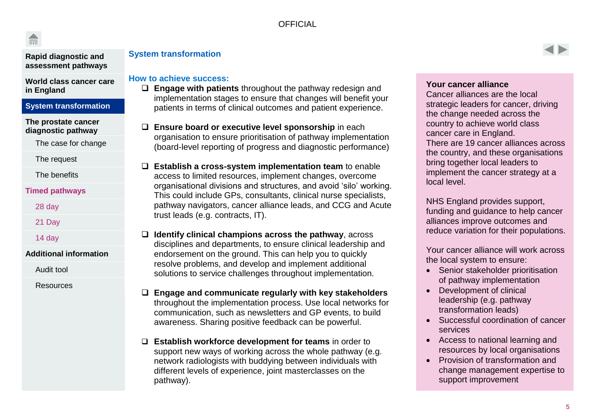**[Rapid diagnostic and](#page-2-0)  [assessment pathways](#page-2-0)**

**[World class cancer care](#page-3-0)  [in England](#page-3-0)**

#### **[System transformation](#page-4-0)**

**[The prostate cancer](#page-5-0)  [diagnostic](#page-5-0) pathway**

[The case for change](#page-5-0)

[The request](#page-6-0)

[The benefits](#page-7-0)

#### **[Timed pathways](#page-8-0)**

[28 day](#page-8-0)

[21 Day](#page-9-0)

[14 day](#page-11-0)

#### **[Additional information](#page-12-0)**

[Audit tool](#page-12-0)

**[Resources](#page-13-0)** 

#### <span id="page-4-0"></span>**System transformation**

#### **How to achieve success:**

- **Engage with patients** throughout the pathway redesign and implementation stages to ensure that changes will benefit your patients in terms of clinical outcomes and patient experience.
- **Ensure board or executive level sponsorship** in each organisation to ensure prioritisation of pathway implementation (board-level reporting of progress and diagnostic performance)
- **Establish a cross-system implementation team** to enable access to limited resources, implement changes, overcome organisational divisions and structures, and avoid 'silo' working. This could include GPs, consultants, clinical nurse specialists, pathway navigators, cancer alliance leads, and CCG and Acute trust leads (e.g. contracts, IT).
- **Identify clinical champions across the pathway**, across disciplines and departments, to ensure clinical leadership and endorsement on the ground. This can help you to quickly resolve problems, and develop and implement additional solutions to service challenges throughout implementation.
- **Engage and communicate regularly with key stakeholders**  throughout the implementation process. Use local networks for communication, such as newsletters and GP events, to build awareness. Sharing positive feedback can be powerful.
- **Establish workforce development for teams** in order to support new ways of working across the whole pathway (e.g. network radiologists with buddying between individuals with different levels of experience, joint masterclasses on the pathway).

#### **Your cancer alliance**

Cancer alliances are the local strategic leaders for cancer, driving the change needed across the country to achieve world class cancer care in England. There are 19 cancer alliances across the country, and these organisations bring together local leaders to implement the cancer strategy at a local level.

NHS England provides support, funding and guidance to help cancer alliances improve outcomes and reduce variation for their populations.

Your cancer alliance will work across the local system to ensure:

- Senior stakeholder prioritisation of pathway implementation
- Development of clinical leadership (e.g. pathway transformation leads)
- Successful coordination of cancer services
- Access to national learning and resources by local organisations
- Provision of transformation and change management expertise to support improvement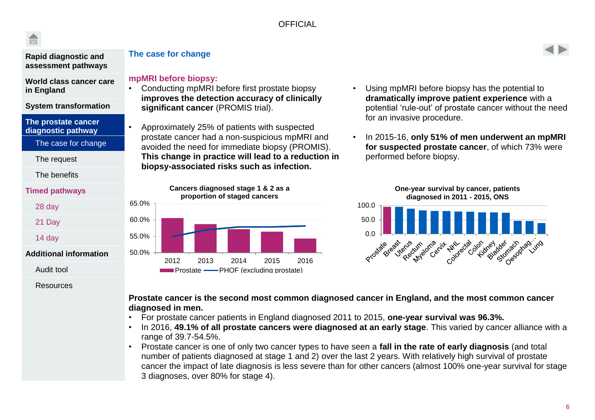

#### **[Rapid diagnostic and](#page-2-0)  [assessment pathways](#page-2-0)**

**[World class cancer care](#page-3-0)  [in England](#page-3-0)**

**[System transformation](#page-4-0)**

**[The prostate cancer](#page-5-0)  [diagnostic pathway](#page-5-0)**

[The case for change](#page-5-0)

[The request](#page-6-0)

[The benefits](#page-7-0)

#### **[Timed pathways](#page-8-0)**

### [28 day](#page-8-0)

[21 Day](#page-9-0)

[14 day](#page-11-0)

#### **[Additional information](#page-12-0)**

[Audit tool](#page-12-0)

#### [Resources](#page-13-0)

### <span id="page-5-0"></span>**The case for change**

#### **mpMRI before biopsy:**

- Conducting mpMRI before first prostate biopsy **improves the detection accuracy of clinically significant cancer** (PROMIS trial).
- Approximately 25% of patients with suspected prostate cancer had a non-suspicious mpMRI and avoided the need for immediate biopsy (PROMIS). **This change in practice will lead to a reduction in biopsy-associated risks such as infection.**

50.0% 55.0% 60.0% 65.0% 2012 2013 2014 2015 2016 **Cancers diagnosed stage 1 & 2 as a proportion of staged cancers Prostate — PHOF (excluding prostate)** 

- Using mpMRI before biopsy has the potential to **dramatically improve patient experience** with a potential 'rule-out' of prostate cancer without the need for an invasive procedure.
- In 2015-16, **only 51% of men underwent an mpMRI for suspected prostate cancer**, of which 73% were performed before biopsy.



#### **Prostate cancer is the second most common diagnosed cancer in England, and the most common cancer diagnosed in men.**

- For prostate cancer patients in England diagnosed 2011 to 2015, **one-year survival was 96.3%.**
- In 2016, **49.1% of all prostate cancers were diagnosed at an early stage**. This varied by cancer alliance with a range of 39.7-54.5%.
- Prostate cancer is one of only two cancer types to have seen a **fall in the rate of early diagnosis** (and total number of patients diagnosed at stage 1 and 2) over the last 2 years. With relatively high survival of prostate cancer the impact of late diagnosis is less severe than for other cancers (almost 100% one-year survival for stage 3 diagnoses, over 80% for stage 4).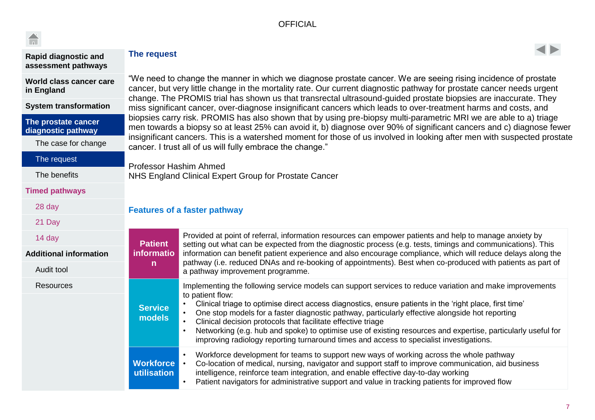<span id="page-6-0"></span>

| <b>TELESCOPE</b>                                   |                                                                                                                                                                                                                                                                                                                                                                                                                                   |                                                                                                                                                                                                                                                                                                                                                                                                                                                                                                                                                                                                                       |  |  |  |  |
|----------------------------------------------------|-----------------------------------------------------------------------------------------------------------------------------------------------------------------------------------------------------------------------------------------------------------------------------------------------------------------------------------------------------------------------------------------------------------------------------------|-----------------------------------------------------------------------------------------------------------------------------------------------------------------------------------------------------------------------------------------------------------------------------------------------------------------------------------------------------------------------------------------------------------------------------------------------------------------------------------------------------------------------------------------------------------------------------------------------------------------------|--|--|--|--|
| <b>Rapid diagnostic and</b><br>assessment pathways | The request                                                                                                                                                                                                                                                                                                                                                                                                                       |                                                                                                                                                                                                                                                                                                                                                                                                                                                                                                                                                                                                                       |  |  |  |  |
| World class cancer care<br>in England              | "We need to change the manner in which we diagnose prostate cancer. We are seeing rising incidence of prostate<br>cancer, but very little change in the mortality rate. Our current diagnostic pathway for prostate cancer needs urgent                                                                                                                                                                                           |                                                                                                                                                                                                                                                                                                                                                                                                                                                                                                                                                                                                                       |  |  |  |  |
| <b>System transformation</b>                       | change. The PROMIS trial has shown us that transrectal ultrasound-guided prostate biopsies are inaccurate. They<br>miss significant cancer, over-diagnose insignificant cancers which leads to over-treatment harms and costs, and                                                                                                                                                                                                |                                                                                                                                                                                                                                                                                                                                                                                                                                                                                                                                                                                                                       |  |  |  |  |
| The prostate cancer<br>diagnostic pathway          | biopsies carry risk. PROMIS has also shown that by using pre-biopsy multi-parametric MRI we are able to a) triage<br>men towards a biopsy so at least 25% can avoid it, b) diagnose over 90% of significant cancers and c) diagnose fewer<br>insignificant cancers. This is a watershed moment for those of us involved in looking after men with suspected prostate<br>cancer. I trust all of us will fully embrace the change." |                                                                                                                                                                                                                                                                                                                                                                                                                                                                                                                                                                                                                       |  |  |  |  |
| The case for change                                |                                                                                                                                                                                                                                                                                                                                                                                                                                   |                                                                                                                                                                                                                                                                                                                                                                                                                                                                                                                                                                                                                       |  |  |  |  |
| The request                                        | Professor Hashim Ahmed                                                                                                                                                                                                                                                                                                                                                                                                            |                                                                                                                                                                                                                                                                                                                                                                                                                                                                                                                                                                                                                       |  |  |  |  |
| The benefits                                       | NHS England Clinical Expert Group for Prostate Cancer                                                                                                                                                                                                                                                                                                                                                                             |                                                                                                                                                                                                                                                                                                                                                                                                                                                                                                                                                                                                                       |  |  |  |  |
| <b>Timed pathways</b>                              |                                                                                                                                                                                                                                                                                                                                                                                                                                   |                                                                                                                                                                                                                                                                                                                                                                                                                                                                                                                                                                                                                       |  |  |  |  |
| 28 day                                             |                                                                                                                                                                                                                                                                                                                                                                                                                                   | <b>Features of a faster pathway</b>                                                                                                                                                                                                                                                                                                                                                                                                                                                                                                                                                                                   |  |  |  |  |
| 21 Day                                             |                                                                                                                                                                                                                                                                                                                                                                                                                                   |                                                                                                                                                                                                                                                                                                                                                                                                                                                                                                                                                                                                                       |  |  |  |  |
| 14 day                                             | <b>Patient</b>                                                                                                                                                                                                                                                                                                                                                                                                                    | Provided at point of referral, information resources can empower patients and help to manage anxiety by<br>setting out what can be expected from the diagnostic process (e.g. tests, timings and communications). This                                                                                                                                                                                                                                                                                                                                                                                                |  |  |  |  |
| <b>Additional information</b>                      | <b>informatio</b>                                                                                                                                                                                                                                                                                                                                                                                                                 | information can benefit patient experience and also encourage compliance, which will reduce delays along the                                                                                                                                                                                                                                                                                                                                                                                                                                                                                                          |  |  |  |  |
| Audit tool                                         | $\mathsf{n}$                                                                                                                                                                                                                                                                                                                                                                                                                      | pathway (i.e. reduced DNAs and re-booking of appointments). Best when co-produced with patients as part of<br>a pathway improvement programme.                                                                                                                                                                                                                                                                                                                                                                                                                                                                        |  |  |  |  |
| <b>Resources</b>                                   | <b>Service</b><br>models                                                                                                                                                                                                                                                                                                                                                                                                          | Implementing the following service models can support services to reduce variation and make improvements<br>to patient flow:<br>Clinical triage to optimise direct access diagnostics, ensure patients in the 'right place, first time'<br>One stop models for a faster diagnostic pathway, particularly effective alongside hot reporting<br>Clinical decision protocols that facilitate effective triage<br>Networking (e.g. hub and spoke) to optimise use of existing resources and expertise, particularly useful for<br>improving radiology reporting turnaround times and access to specialist investigations. |  |  |  |  |
|                                                    | <b>Workforce</b><br>utilisation                                                                                                                                                                                                                                                                                                                                                                                                   | Workforce development for teams to support new ways of working across the whole pathway<br>Co-location of medical, nursing, navigator and support staff to improve communication, aid business<br>$\bullet$<br>intelligence, reinforce team integration, and enable effective day-to-day working<br>Patient navigators for administrative support and value in tracking patients for improved flow                                                                                                                                                                                                                    |  |  |  |  |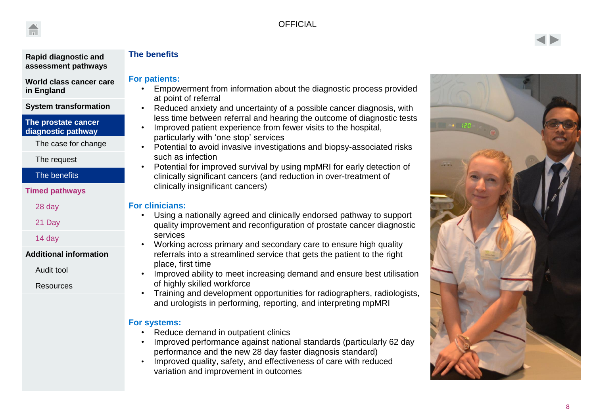



#### **[Rapid diagnostic and](#page-2-0)  [assessment pathways](#page-2-0)**

**[World class cancer care](#page-3-0)  [in England](#page-3-0)**

#### **[System transformation](#page-4-0)**

**[The prostate cancer](#page-5-0)  [diagnostic pathway](#page-5-0)**

[The case for change](#page-5-0)

[The request](#page-6-0)

#### [The benefits](#page-7-0)

**[Timed pathways](#page-8-0)**

[28 day](#page-8-0)

[21 Day](#page-9-0)

[14 day](#page-11-0)

#### **[Additional information](#page-12-0)**

[Audit tool](#page-12-0)

[Resources](#page-13-0)

### <span id="page-7-0"></span>**The benefits**

#### **For patients:**

- Empowerment from information about the diagnostic process provided at point of referral
- Reduced anxiety and uncertainty of a possible cancer diagnosis, with less time between referral and hearing the outcome of diagnostic tests
- Improved patient experience from fewer visits to the hospital, particularly with 'one stop' services
- Potential to avoid invasive investigations and biopsy -associated risks such as infection
- Potential for improved survival by using mpMRI for early detection of clinically significant cancers (and reduction in over -treatment of clinically insignificant cancers )

#### **For clinicians:**

- Using a nationally agreed and clinically endorsed pathway to support quality improvement and reconfiguration of prostate cancer diagnostic services
- Working across primary and secondary care to ensure high quality referrals into a streamlined service that gets the patient to the right place, first time
- Improved ability to meet increasing demand and ensure best utilisation of highly skilled workforce
- Training and development opportunities for radiographers, radiologists, and urologists in performing, reporting, and interpreting mpMRI

#### **For systems:**

- 
- Reduce demand in outpatient clinics<br>• Improved performance against national standards (particularly 62 day performance and the new 28 day faster diagnosis standard)
- Improved quality, safety, and effectiveness of care with reduced variation and improvement in outcomes

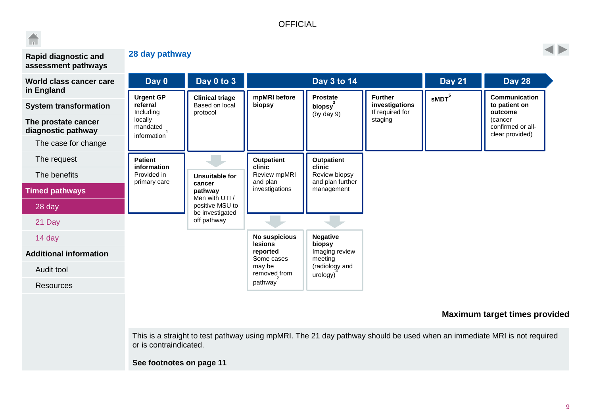

#### **[Rapid diagnostic and](#page-2-0)  [assessment pathways](#page-2-0)**

<span id="page-8-0"></span>**28 day pathway**



| World class cancer care                    | Day 0                                     | Day 0 to 3                                                               |                                                      | Day 3 to 14                |                                                     | <b>Day 21</b>  | <b>Day 28</b>                                    |                                |  |  |  |  |
|--------------------------------------------|-------------------------------------------|--------------------------------------------------------------------------|------------------------------------------------------|----------------------------|-----------------------------------------------------|----------------|--------------------------------------------------|--------------------------------|--|--|--|--|
| in England<br><b>System transformation</b> | <b>Urgent GP</b><br>referral<br>Including | <b>Clinical triage</b><br>Based on local<br>protocol                     | mpMRI before<br>biopsy                               | <b>Prostate</b><br>biopsy  | <b>Further</b><br>investigations<br>If required for | ${\sf sMDT}^5$ | <b>Communication</b><br>to patient on<br>outcome |                                |  |  |  |  |
| The prostate cancer<br>diagnostic pathway  | locally<br>mandated<br>information        |                                                                          |                                                      | (by day 9)                 | staging                                             |                | (cancer<br>confirmed or all-<br>clear provided)  |                                |  |  |  |  |
| The case for change                        |                                           |                                                                          |                                                      |                            |                                                     |                |                                                  |                                |  |  |  |  |
| The request                                | <b>Patient</b>                            |                                                                          | <b>Outpatient</b>                                    | <b>Outpatient</b>          |                                                     |                |                                                  |                                |  |  |  |  |
| The benefits                               | information<br>Provided in                | Unsuitable for<br>cancer<br>pathway<br>Men with UTI /<br>positive MSU to | clinic<br>Review mpMRI<br>and plan<br>investigations | clinic<br>Review biopsy    |                                                     |                |                                                  |                                |  |  |  |  |
| <b>Timed pathways</b>                      | primary care                              |                                                                          |                                                      | be investigated            |                                                     |                |                                                  | and plan further<br>management |  |  |  |  |
| 28 day                                     |                                           |                                                                          |                                                      |                            |                                                     |                |                                                  |                                |  |  |  |  |
| 21 Day                                     |                                           | off pathway                                                              |                                                      |                            |                                                     |                |                                                  |                                |  |  |  |  |
| 14 day                                     |                                           |                                                                          | No suspicious<br><b>lesions</b>                      | <b>Negative</b><br>biopsy  |                                                     |                |                                                  |                                |  |  |  |  |
| <b>Additional information</b>              |                                           |                                                                          | reported<br>Some cases                               | Imaging review<br>meeting  |                                                     |                |                                                  |                                |  |  |  |  |
| Audit tool                                 |                                           |                                                                          | may be<br>removed from                               | (radiology and<br>urology) |                                                     |                |                                                  |                                |  |  |  |  |
| <b>Resources</b>                           |                                           |                                                                          | pathway                                              |                            |                                                     |                |                                                  |                                |  |  |  |  |
|                                            |                                           |                                                                          |                                                      |                            |                                                     |                |                                                  |                                |  |  |  |  |

#### **Maximum target times provided**

This is a straight to test pathway using mpMRI. The 21 day pathway should be used when an immediate MRI is not required or is contraindicated.

**See footnotes on page 11**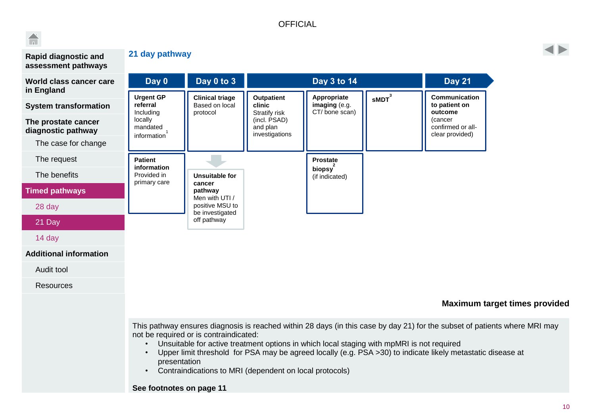# $\widehat{\mathbf{h}}$

**[Rapid diagnostic and](#page-2-0)  [assessment pathways](#page-2-0)**

### <span id="page-9-0"></span>**21 day pathway**

| addodunom patmayd                         |                                            |                                          |                                                             |                              |                                                                                           |                                                                                                             |                                                                                                                            |
|-------------------------------------------|--------------------------------------------|------------------------------------------|-------------------------------------------------------------|------------------------------|-------------------------------------------------------------------------------------------|-------------------------------------------------------------------------------------------------------------|----------------------------------------------------------------------------------------------------------------------------|
| World class cancer care<br>in England     | Day 0                                      | Day 0 to 3                               |                                                             | Day 3 to 14                  |                                                                                           | <b>Day 21</b>                                                                                               |                                                                                                                            |
| <b>System transformation</b>              | <b>Urgent GP</b><br>referral               | <b>Clinical triage</b><br>Based on local | <b>Outpatient</b><br>clinic                                 | Appropriate<br>imaging (e.g. | sMDT <sup>3</sup>                                                                         | Communication<br>to patient on                                                                              |                                                                                                                            |
| The prostate cancer<br>diagnostic pathway | Including<br>locally<br>mandated           | protocol                                 | Stratify risk<br>(incl. PSAD)<br>and plan<br>investigations | CT/bone scan)                |                                                                                           | outcome<br>(cancer<br>confirmed or all-<br>clear provided)                                                  |                                                                                                                            |
| The case for change                       | information                                |                                          |                                                             |                              |                                                                                           |                                                                                                             |                                                                                                                            |
| The request                               | <b>Patient</b>                             |                                          |                                                             | Prostate                     |                                                                                           |                                                                                                             |                                                                                                                            |
| The benefits                              | information<br>Provided in<br>primary care | Unsuitable for                           | (if indicated)                                              | biopsy                       |                                                                                           |                                                                                                             |                                                                                                                            |
| <b>Timed pathways</b>                     |                                            | cancer<br>pathway<br>Men with UTI /      |                                                             |                              |                                                                                           |                                                                                                             |                                                                                                                            |
| 28 day                                    |                                            | positive MSU to<br>be investigated       |                                                             |                              |                                                                                           |                                                                                                             |                                                                                                                            |
| 21 Day                                    |                                            | off pathway                              |                                                             |                              |                                                                                           |                                                                                                             |                                                                                                                            |
| 14 day                                    |                                            |                                          |                                                             |                              |                                                                                           |                                                                                                             |                                                                                                                            |
| <b>Additional information</b>             |                                            |                                          |                                                             |                              |                                                                                           |                                                                                                             |                                                                                                                            |
| Audit tool                                |                                            |                                          |                                                             |                              |                                                                                           |                                                                                                             |                                                                                                                            |
| <b>Resources</b>                          |                                            |                                          |                                                             |                              |                                                                                           |                                                                                                             |                                                                                                                            |
|                                           |                                            |                                          |                                                             |                              |                                                                                           |                                                                                                             | <b>Maximum target times provided</b>                                                                                       |
|                                           | presentation<br>See footnotes on page 11   | not be required or is contraindicated:   | Contraindications to MRI (dependent on local protocols)     |                              | Unsuitable for active treatment options in which local staging with mpMRI is not required | Upper limit threshold for PSA may be agreed locally (e.g. PSA >30) to indicate likely metastatic disease at | This pathway ensures diagnosis is reached within 28 days (in this case by day 21) for the subset of patients where MRI may |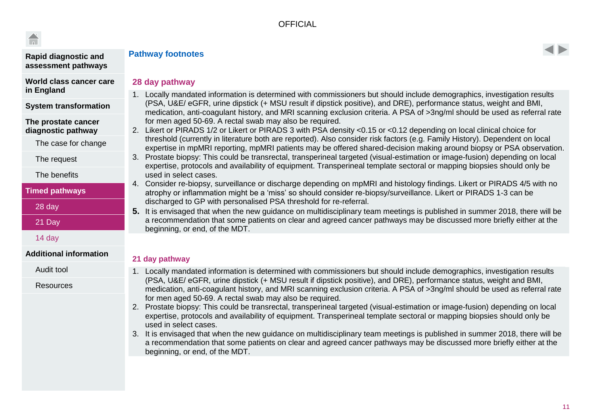**[in England](#page-3-0)**

#### **[Rapid diagnostic and](#page-2-0)  [assessment pathways](#page-2-0)**

**[World class cancer care](#page-3-0)** 

**[System transformation](#page-4-0)**

[The case for change](#page-5-0)

**[The prostate cancer](#page-5-0)  [diagnostic pathway](#page-5-0)**

[The request](#page-6-0)

[The benefits](#page-7-0)

**[Timed pathways](#page-8-0)**

[28 day](#page-8-0)

[21 Day](#page-9-0)

[14 day](#page-11-0)

[Audit tool](#page-12-0)

**[Resources](#page-13-0)** 

**[Additional information](#page-12-0)**



#### **28 day pathway**

**Pathway footnotes**

- 1. Locally mandated information is determined with commissioners but should include demographics, investigation results (PSA, U&E/ eGFR, urine dipstick (+ MSU result if dipstick positive), and DRE), performance status, weight and BMI, medication, anti-coagulant history, and MRI scanning exclusion criteria. A PSA of >3ng/ml should be used as referral rate for men aged 50-69. A rectal swab may also be required.
- 2. Likert or PIRADS 1/2 or Likert or PIRADS 3 with PSA density <0.15 or <0.12 depending on local clinical choice for threshold (currently in literature both are reported). Also consider risk factors (e.g. Family History). Dependent on local expertise in mpMRI reporting, mpMRI patients may be offered shared-decision making around biopsy or PSA observation.
- 3. Prostate biopsy: This could be transrectal, transperineal targeted (visual-estimation or image-fusion) depending on local expertise, protocols and availability of equipment. Transperineal template sectoral or mapping biopsies should only be used in select cases.
- 4. Consider re-biopsy, surveillance or discharge depending on mpMRI and histology findings. Likert or PIRADS 4/5 with no atrophy or inflammation might be a 'miss' so should consider re-biopsy/surveillance. Likert or PIRADS 1-3 can be discharged to GP with personalised PSA threshold for re-referral.
- **5.** It is envisaged that when the new guidance on multidisciplinary team meetings is published in summer 2018, there will be a recommendation that some patients on clear and agreed cancer pathways may be discussed more briefly either at the beginning, or end, of the MDT.

#### **21 day pathway**

- 1. Locally mandated information is determined with commissioners but should include demographics, investigation results (PSA, U&E/ eGFR, urine dipstick (+ MSU result if dipstick positive), and DRE), performance status, weight and BMI, medication, anti-coagulant history, and MRI scanning exclusion criteria. A PSA of >3ng/ml should be used as referral rate for men aged 50-69. A rectal swab may also be required.
- 2. Prostate biopsy: This could be transrectal, transperineal targeted (visual-estimation or image-fusion) depending on local expertise, protocols and availability of equipment. Transperineal template sectoral or mapping biopsies should only be used in select cases.
- 3. It is envisaged that when the new guidance on multidisciplinary team meetings is published in summer 2018, there will be a recommendation that some patients on clear and agreed cancer pathways may be discussed more briefly either at the beginning, or end, of the MDT.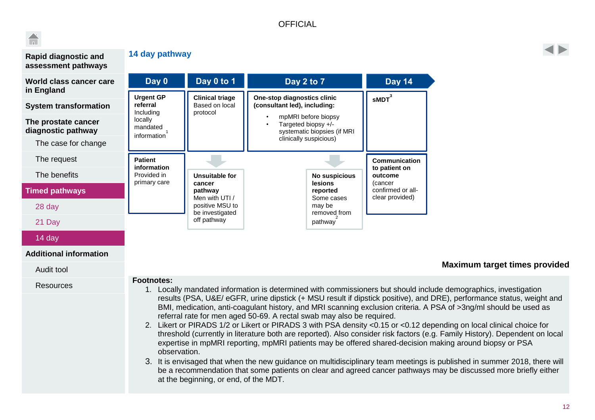## $\Box$



#### **[Rapid diagnostic and](#page-2-0)  [assessment pathways](#page-2-0)**

#### **[World class cancer care](#page-3-0)  [in England](#page-3-0) [System transformation](#page-4-0) [The prostate cancer](#page-5-0)  [diagnostic pathway](#page-5-0)** [The case for change](#page-5-0) [The request](#page-6-0) [The benefits](#page-7-0) **[Timed pathways](#page-8-0)** [28 day](#page-8-0) [21 Day](#page-9-0) **sMDT <sup>3</sup> One-stop diagnostics clinic (consultant led), including:** • mpMRI before biopsy • Targeted biopsy +/ systematic biopsies (if MRI clinically suspicious) **Communication to patient on outcome**  (cancer confirmed or allclear provided) **Day 2 to 7 Day 14 Urgent GP referral** Including locally mandated information 1 **Patient information** Provided in primary care **Clinical triage** Based on local protocol **Day 0 Day 0 to 1 No suspicious lesions reported** Some cases may be removed from pathway 2 **Unsuitable for cancer pathway** Men with UTI / positive MSU to be investigated off pathway

<span id="page-11-0"></span>**14 day pathway**

#### [14 day](#page-11-0)

#### **[Additional information](#page-12-0)**

#### [Audit tool](#page-12-0)

#### [Resources](#page-13-0)

- **Footnotes:** 1. Locally mandated information is determined with commissioners but should include demographics, investigation results (PSA, U&E/ eGFR, urine dipstick (+ MSU result if dipstick positive), and DRE), performance status, weight and BMI, medication, anti-coagulant history, and MRI scanning exclusion criteria. A PSA of >3ng/ml should be used as referral rate for men aged 50-69. A rectal swab may also be required.
	- 2. Likert or PIRADS 1/2 or Likert or PIRADS 3 with PSA density <0.15 or <0.12 depending on local clinical choice for threshold (currently in literature both are reported). Also consider risk factors (e.g. Family History). Dependent on local expertise in mpMRI reporting, mpMRI patients may be offered shared-decision making around biopsy or PSA observation.
	- 3. It is envisaged that when the new guidance on multidisciplinary team meetings is published in summer 2018, there will be a recommendation that some patients on clear and agreed cancer pathways may be discussed more briefly either at the beginning, or end, of the MDT.

**Maximum target times provided**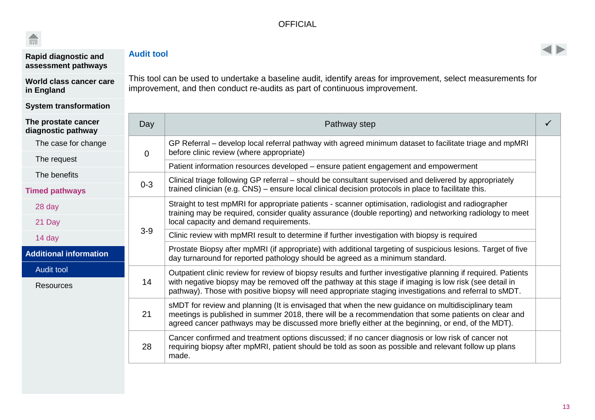

| <b>Rapid diagnostic and</b><br>assessment pathways | <b>Audit tool</b> |
|----------------------------------------------------|-------------------|
|                                                    |                   |

**[World class cancer care](#page-3-0)  [in England](#page-3-0)**

#### **[System transformation](#page-4-0)**

<span id="page-12-0"></span>This tool can be used to undertake a baseline audit, identify areas for improvement, select measurements for improvement, and then conduct re-audits as part of continuous improvement.

| The prostate cancer<br>diagnostic pathway | Day      | Pathway step                                                                                                                                                                                                                                                                                                                         |  |
|-------------------------------------------|----------|--------------------------------------------------------------------------------------------------------------------------------------------------------------------------------------------------------------------------------------------------------------------------------------------------------------------------------------|--|
| The case for change                       |          | GP Referral – develop local referral pathway with agreed minimum dataset to facilitate triage and mpMRI                                                                                                                                                                                                                              |  |
| The request                               | $\Omega$ | before clinic review (where appropriate)<br>Patient information resources developed – ensure patient engagement and empowerment                                                                                                                                                                                                      |  |
| The benefits                              |          | Clinical triage following GP referral – should be consultant supervised and delivered by appropriately                                                                                                                                                                                                                               |  |
| <b>Timed pathways</b>                     | $0 - 3$  | trained clinician (e.g. CNS) – ensure local clinical decision protocols in place to facilitate this.                                                                                                                                                                                                                                 |  |
| 28 day                                    |          | Straight to test mpMRI for appropriate patients - scanner optimisation, radiologist and radiographer<br>training may be required, consider quality assurance (double reporting) and networking radiology to meet                                                                                                                     |  |
| 21 Day                                    |          | local capacity and demand requirements.                                                                                                                                                                                                                                                                                              |  |
| 14 day                                    | $3-9$    | Clinic review with mpMRI result to determine if further investigation with biopsy is required                                                                                                                                                                                                                                        |  |
| <b>Additional information</b>             |          | Prostate Biopsy after mpMRI (if appropriate) with additional targeting of suspicious lesions. Target of five<br>day turnaround for reported pathology should be agreed as a minimum standard.                                                                                                                                        |  |
| <b>Audit tool</b><br><b>Resources</b>     | 14       | Outpatient clinic review for review of biopsy results and further investigative planning if required. Patients<br>with negative biopsy may be removed off the pathway at this stage if imaging is low risk (see detail in<br>pathway). Those with positive biopsy will need appropriate staging investigations and referral to sMDT. |  |
|                                           | 21       | sMDT for review and planning (It is envisaged that when the new guidance on multidisciplinary team<br>meetings is published in summer 2018, there will be a recommendation that some patients on clear and<br>agreed cancer pathways may be discussed more briefly either at the beginning, or end, of the MDT).                     |  |
|                                           | 28       | Cancer confirmed and treatment options discussed; if no cancer diagnosis or low risk of cancer not<br>requiring biopsy after mpMRI, patient should be told as soon as possible and relevant follow up plans<br>made.                                                                                                                 |  |

 $\blacktriangleleft$